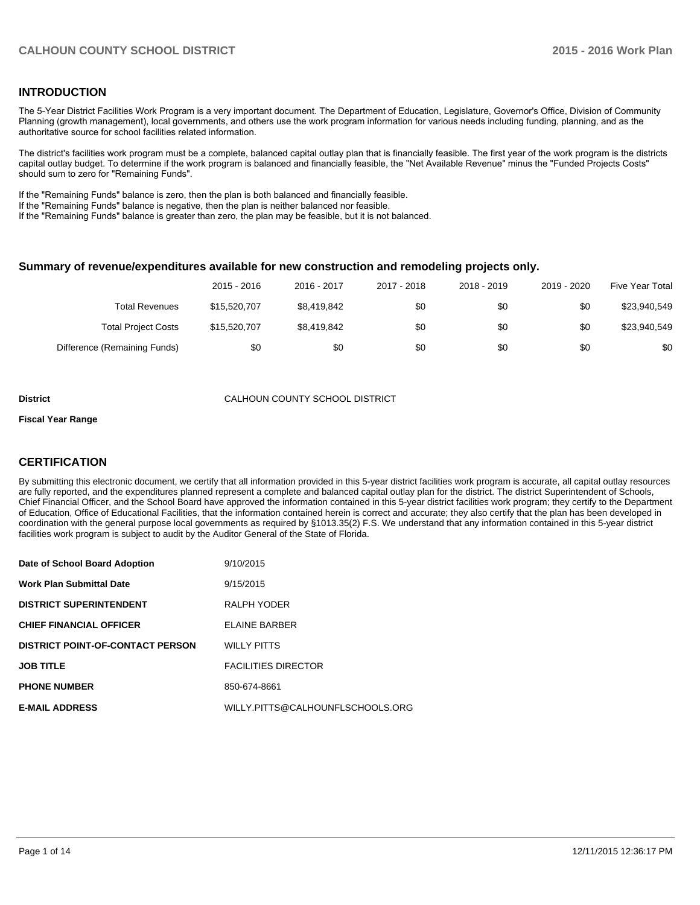### **INTRODUCTION**

The 5-Year District Facilities Work Program is a very important document. The Department of Education, Legislature, Governor's Office, Division of Community Planning (growth management), local governments, and others use the work program information for various needs including funding, planning, and as the authoritative source for school facilities related information.

The district's facilities work program must be a complete, balanced capital outlay plan that is financially feasible. The first year of the work program is the districts capital outlay budget. To determine if the work program is balanced and financially feasible, the "Net Available Revenue" minus the "Funded Projects Costs" should sum to zero for "Remaining Funds".

If the "Remaining Funds" balance is zero, then the plan is both balanced and financially feasible.

If the "Remaining Funds" balance is negative, then the plan is neither balanced nor feasible.

If the "Remaining Funds" balance is greater than zero, the plan may be feasible, but it is not balanced.

#### **Summary of revenue/expenditures available for new construction and remodeling projects only.**

|                              | 2015 - 2016  | 2016 - 2017 | 2017 - 2018 | 2018 - 2019 | 2019 - 2020 | Five Year Total |
|------------------------------|--------------|-------------|-------------|-------------|-------------|-----------------|
| Total Revenues               | \$15,520,707 | \$8,419,842 | \$0         | \$0         | \$0         | \$23,940,549    |
| <b>Total Project Costs</b>   | \$15,520,707 | \$8,419,842 | \$0         | \$0         | \$0         | \$23,940,549    |
| Difference (Remaining Funds) | \$0          | \$0         | \$0         | \$0         | \$0         | \$0             |

#### **District** CALHOUN COUNTY SCHOOL DISTRICT

#### **Fiscal Year Range**

## **CERTIFICATION**

By submitting this electronic document, we certify that all information provided in this 5-year district facilities work program is accurate, all capital outlay resources are fully reported, and the expenditures planned represent a complete and balanced capital outlay plan for the district. The district Superintendent of Schools, Chief Financial Officer, and the School Board have approved the information contained in this 5-year district facilities work program; they certify to the Department of Education, Office of Educational Facilities, that the information contained herein is correct and accurate; they also certify that the plan has been developed in coordination with the general purpose local governments as required by §1013.35(2) F.S. We understand that any information contained in this 5-year district facilities work program is subject to audit by the Auditor General of the State of Florida.

| Date of School Board Adoption           | 9/10/2015                        |
|-----------------------------------------|----------------------------------|
| <b>Work Plan Submittal Date</b>         | 9/15/2015                        |
| <b>DISTRICT SUPERINTENDENT</b>          | RALPH YODER                      |
| <b>CHIEF FINANCIAL OFFICER</b>          | FI AINF BARBER                   |
| <b>DISTRICT POINT-OF-CONTACT PERSON</b> | <b>WILLY PITTS</b>               |
| <b>JOB TITLE</b>                        | <b>FACILITIES DIRECTOR</b>       |
| <b>PHONE NUMBER</b>                     | 850-674-8661                     |
| <b>E-MAIL ADDRESS</b>                   | WILLY.PITTS@CALHOUNFLSCHOOLS.ORG |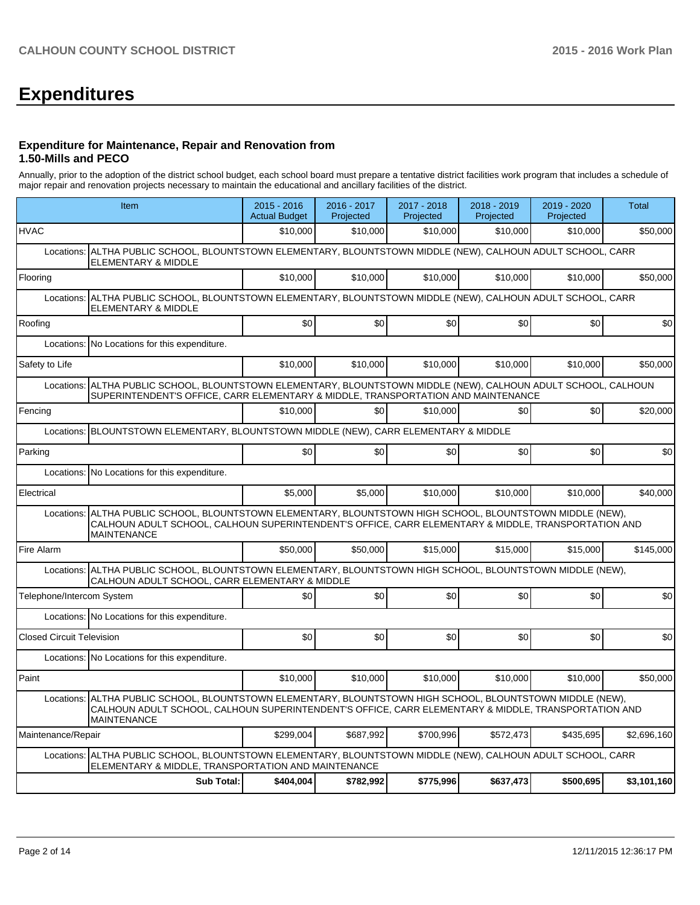# **Expenditures**

#### **Expenditure for Maintenance, Repair and Renovation from 1.50-Mills and PECO**

Annually, prior to the adoption of the district school budget, each school board must prepare a tentative district facilities work program that includes a schedule of major repair and renovation projects necessary to maintain the educational and ancillary facilities of the district.

|                                  | Item                                                                                                                                                                                                                                    | 2015 - 2016<br><b>Actual Budget</b> | 2016 - 2017<br>Projected | 2017 - 2018<br>Projected | 2018 - 2019<br>Projected | 2019 - 2020<br>Projected | Total       |  |  |
|----------------------------------|-----------------------------------------------------------------------------------------------------------------------------------------------------------------------------------------------------------------------------------------|-------------------------------------|--------------------------|--------------------------|--------------------------|--------------------------|-------------|--|--|
| <b>HVAC</b>                      |                                                                                                                                                                                                                                         | \$10,000                            | \$10,000                 | \$10,000                 | \$10,000                 | \$10,000                 | \$50,000    |  |  |
| Locations:                       | ALTHA PUBLIC SCHOOL, BLOUNTSTOWN ELEMENTARY, BLOUNTSTOWN MIDDLE (NEW), CALHOUN ADULT SCHOOL, CARR<br>ELEMENTARY & MIDDLE                                                                                                                |                                     |                          |                          |                          |                          |             |  |  |
| Flooring                         |                                                                                                                                                                                                                                         | \$10,000                            | \$10,000                 | \$10,000                 | \$10,000                 | \$10,000                 | \$50,000    |  |  |
| Locations:                       | ALTHA PUBLIC SCHOOL, BLOUNTSTOWN ELEMENTARY, BLOUNTSTOWN MIDDLE (NEW), CALHOUN ADULT SCHOOL, CARR<br>ELEMENTARY & MIDDLE                                                                                                                |                                     |                          |                          |                          |                          |             |  |  |
| Roofing                          |                                                                                                                                                                                                                                         | \$0                                 | \$0                      | \$0                      | \$0                      | \$0                      | \$0         |  |  |
| Locations:                       | No Locations for this expenditure.                                                                                                                                                                                                      |                                     |                          |                          |                          |                          |             |  |  |
| Safety to Life                   |                                                                                                                                                                                                                                         | \$10,000                            | \$10,000                 | \$10,000                 | \$10,000                 | \$10,000                 | \$50,000    |  |  |
| Locations:                       | ALTHA PUBLIC SCHOOL, BLOUNTSTOWN ELEMENTARY, BLOUNTSTOWN MIDDLE (NEW), CALHOUN ADULT SCHOOL, CALHOUN<br>SUPERINTENDENT'S OFFICE, CARR ELEMENTARY & MIDDLE, TRANSPORTATION AND MAINTENANCE                                               |                                     |                          |                          |                          |                          |             |  |  |
| Fencing                          |                                                                                                                                                                                                                                         | \$10,000                            | \$0                      | \$10,000                 | \$0                      | \$0                      | \$20,000    |  |  |
|                                  | Locations: BLOUNTSTOWN ELEMENTARY, BLOUNTSTOWN MIDDLE (NEW), CARR ELEMENTARY & MIDDLE                                                                                                                                                   |                                     |                          |                          |                          |                          |             |  |  |
| Parking                          |                                                                                                                                                                                                                                         | \$0                                 | \$0                      | \$0                      | \$0                      | \$0                      | \$0         |  |  |
|                                  | Locations: No Locations for this expenditure.                                                                                                                                                                                           |                                     |                          |                          |                          |                          |             |  |  |
| Electrical                       |                                                                                                                                                                                                                                         | \$5,000                             | \$5,000                  | \$10,000                 | \$10,000                 | \$10,000                 | \$40,000    |  |  |
| Locations:                       | ALTHA PUBLIC SCHOOL, BLOUNTSTOWN ELEMENTARY, BLOUNTSTOWN HIGH SCHOOL, BLOUNTSTOWN MIDDLE (NEW),<br>CALHOUN ADULT SCHOOL, CALHOUN SUPERINTENDENT'S OFFICE, CARR ELEMENTARY & MIDDLE, TRANSPORTATION AND<br><b>MAINTENANCE</b>            |                                     |                          |                          |                          |                          |             |  |  |
| Fire Alarm                       |                                                                                                                                                                                                                                         | \$50,000                            | \$50,000                 | \$15,000                 | \$15,000                 | \$15,000                 | \$145,000   |  |  |
| Locations:                       | ALTHA PUBLIC SCHOOL, BLOUNTSTOWN ELEMENTARY, BLOUNTSTOWN HIGH SCHOOL, BLOUNTSTOWN MIDDLE (NEW),<br>CALHOUN ADULT SCHOOL, CARR ELEMENTARY & MIDDLE                                                                                       |                                     |                          |                          |                          |                          |             |  |  |
| Telephone/Intercom System        |                                                                                                                                                                                                                                         | \$0                                 | \$0                      | \$0                      | \$0                      | \$0                      | \$0         |  |  |
|                                  | Locations: No Locations for this expenditure.                                                                                                                                                                                           |                                     |                          |                          |                          |                          |             |  |  |
| <b>Closed Circuit Television</b> |                                                                                                                                                                                                                                         | \$0                                 | \$0                      | \$0                      | \$0                      | \$0                      | \$0         |  |  |
|                                  | Locations: No Locations for this expenditure.                                                                                                                                                                                           |                                     |                          |                          |                          |                          |             |  |  |
| Paint                            |                                                                                                                                                                                                                                         | \$10,000                            | \$10,000                 | \$10,000                 | \$10,000                 | \$10,000                 | \$50,000    |  |  |
|                                  | Locations: ALTHA PUBLIC SCHOOL, BLOUNTSTOWN ELEMENTARY, BLOUNTSTOWN HIGH SCHOOL, BLOUNTSTOWN MIDDLE (NEW),<br>CALHOUN ADULT SCHOOL, CALHOUN SUPERINTENDENT'S OFFICE, CARR ELEMENTARY & MIDDLE, TRANSPORTATION AND<br><b>MAINTENANCE</b> |                                     |                          |                          |                          |                          |             |  |  |
| Maintenance/Repair               |                                                                                                                                                                                                                                         | \$299,004                           | \$687,992                | \$700,996                | \$572,473                | \$435,695                | \$2,696,160 |  |  |
| Locations:                       | ALTHA PUBLIC SCHOOL, BLOUNTSTOWN ELEMENTARY, BLOUNTSTOWN MIDDLE (NEW), CALHOUN ADULT SCHOOL, CARR<br>ELEMENTARY & MIDDLE, TRANSPORTATION AND MAINTENANCE                                                                                |                                     |                          |                          |                          |                          |             |  |  |
|                                  | <b>Sub Total:</b>                                                                                                                                                                                                                       | \$404,004                           | \$782,992                | \$775,996                | \$637,473                | \$500,695                | \$3,101,160 |  |  |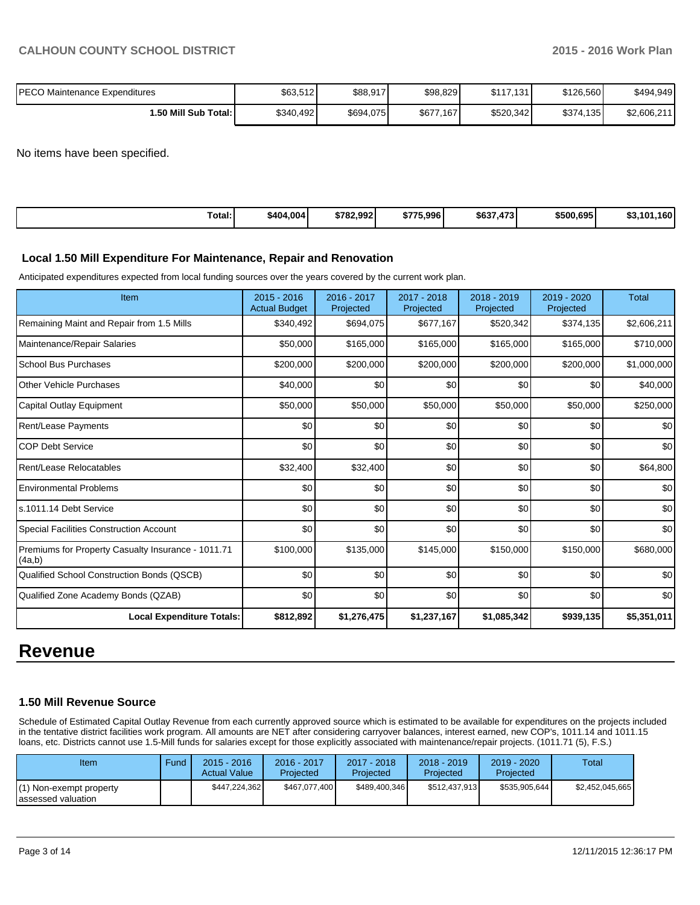| IPECO Maintenance Expenditures | \$63,512  | \$88,917  | \$98,829  | \$117.131 | \$126,560 | \$494,949   |
|--------------------------------|-----------|-----------|-----------|-----------|-----------|-------------|
| 50 Mill Sub Total: I           | \$340.492 | \$694,075 | \$677,167 | \$520.342 | \$374,135 | \$2,606,211 |

No items have been specified.

| $\sim$<br>\$404.004<br>Total: | \$782.992 | 75.996 l<br>ぐフフロ<br>.ъ <i>і</i> | \$637<br>$1 - \alpha$<br>.473 | \$500,695 | 160 l<br>.10 <sup>2</sup> |
|-------------------------------|-----------|---------------------------------|-------------------------------|-----------|---------------------------|
|-------------------------------|-----------|---------------------------------|-------------------------------|-----------|---------------------------|

#### **Local 1.50 Mill Expenditure For Maintenance, Repair and Renovation**

Anticipated expenditures expected from local funding sources over the years covered by the current work plan.

| Item                                                         | $2015 - 2016$<br><b>Actual Budget</b> | 2016 - 2017<br>Projected | 2017 - 2018<br>Projected | 2018 - 2019<br>Projected | 2019 - 2020<br>Projected | <b>Total</b> |
|--------------------------------------------------------------|---------------------------------------|--------------------------|--------------------------|--------------------------|--------------------------|--------------|
| Remaining Maint and Repair from 1.5 Mills                    | \$340,492                             | \$694,075                | \$677,167                | \$520,342                | \$374,135                | \$2,606,211  |
| Maintenance/Repair Salaries                                  | \$50,000                              | \$165,000                | \$165,000                | \$165,000                | \$165,000                | \$710,000    |
| <b>School Bus Purchases</b>                                  | \$200,000                             | \$200,000                | \$200,000                | \$200,000                | \$200,000                | \$1,000,000  |
| <b>Other Vehicle Purchases</b>                               | \$40,000                              | \$0                      | \$0                      | \$0                      | \$0                      | \$40,000     |
| Capital Outlay Equipment                                     | \$50,000                              | \$50,000                 | \$50,000                 | \$50,000                 | \$50,000                 | \$250,000    |
| Rent/Lease Payments                                          | \$0                                   | \$0                      | \$0                      | \$0                      | \$0                      | \$0          |
| <b>COP Debt Service</b>                                      | \$0                                   | \$0                      | \$0                      | \$0                      | \$0                      | \$0          |
| Rent/Lease Relocatables                                      | \$32,400                              | \$32,400                 | \$0                      | \$0                      | \$0                      | \$64,800     |
| <b>Environmental Problems</b>                                | \$0                                   | \$0                      | \$0                      | \$0                      | \$0                      | \$0          |
| ls.1011.14 Debt Service                                      | \$0                                   | \$0                      | \$0                      | \$0                      | \$0                      | \$0          |
| <b>Special Facilities Construction Account</b>               | \$0                                   | \$0                      | \$0                      | \$0                      | \$0                      | \$0          |
| Premiums for Property Casualty Insurance - 1011.71<br>(4a,b) | \$100,000                             | \$135,000                | \$145,000                | \$150,000                | \$150,000                | \$680,000    |
| Qualified School Construction Bonds (QSCB)                   | \$0                                   | \$0                      | \$0                      | \$0                      | \$0                      | \$0          |
| Qualified Zone Academy Bonds (QZAB)                          | \$0                                   | \$0                      | \$0                      | \$0                      | \$0                      | \$0          |
| <b>Local Expenditure Totals:</b>                             | \$812,892                             | \$1,276,475              | \$1,237,167              | \$1,085,342              | \$939,135                | \$5,351,011  |

# **Revenue**

#### **1.50 Mill Revenue Source**

Schedule of Estimated Capital Outlay Revenue from each currently approved source which is estimated to be available for expenditures on the projects included in the tentative district facilities work program. All amounts are NET after considering carryover balances, interest earned, new COP's, 1011.14 and 1011.15 loans, etc. Districts cannot use 1.5-Mill funds for salaries except for those explicitly associated with maintenance/repair projects. (1011.71 (5), F.S.)

| Item                                            | Fund | $2015 - 2016$<br><b>Actual Value</b> | 2016 - 2017<br>Projected | $2017 - 2018$<br>Projected | $2018 - 2019$<br>Projected | $2019 - 2020$<br>Projected | Total           |
|-------------------------------------------------|------|--------------------------------------|--------------------------|----------------------------|----------------------------|----------------------------|-----------------|
| . i) Non-exempt property<br>lassessed valuation |      | \$447,224,362                        | \$467.077.400            | \$489,400,346              | \$512.437.913              | \$535.905.644              | \$2.452.045.665 |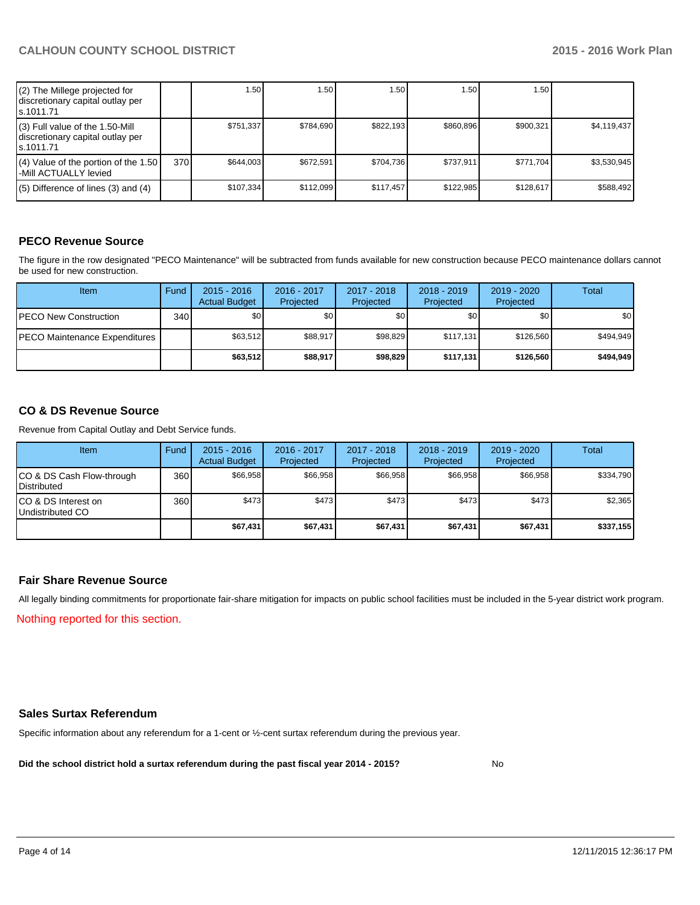| (2) The Millege projected for<br>discretionary capital outlay per<br>ls.1011.71   |     | 1.50 <sub>1</sub> | 1.50      | ا 50. ا   | 1.50      | 1.50 l    |             |
|-----------------------------------------------------------------------------------|-----|-------------------|-----------|-----------|-----------|-----------|-------------|
| (3) Full value of the 1.50-Mill<br>discretionary capital outlay per<br>ls.1011.71 |     | \$751.337         | \$784.690 | \$822,193 | \$860.896 | \$900.321 | \$4,119,437 |
| $(4)$ Value of the portion of the 1.50<br>l-Mill ACTUALLY levied                  | 370 | \$644,003         | \$672.591 | \$704.736 | \$737.911 | \$771.704 | \$3.530.945 |
| $(5)$ Difference of lines $(3)$ and $(4)$                                         |     | \$107.334         | \$112.099 | \$117.457 | \$122,985 | \$128.617 | \$588,492   |

# **PECO Revenue Source**

The figure in the row designated "PECO Maintenance" will be subtracted from funds available for new construction because PECO maintenance dollars cannot be used for new construction.

| Item                                 | Fund             | $2015 - 2016$<br><b>Actual Budget</b> | 2016 - 2017<br>Projected | 2017 - 2018<br>Projected | $2018 - 2019$<br>Projected | $2019 - 2020$<br>Projected | Total            |
|--------------------------------------|------------------|---------------------------------------|--------------------------|--------------------------|----------------------------|----------------------------|------------------|
| <b>IPECO New Construction</b>        | 340 <sup>l</sup> | \$0 <sub>0</sub>                      | \$0                      | \$0                      | \$0                        | \$0 I                      | \$0 <sub>1</sub> |
| <b>PECO Maintenance Expenditures</b> |                  | \$63.512                              | \$88.917                 | \$98.829                 | \$117.131                  | \$126.560                  | \$494.949        |
|                                      |                  | \$63.512                              | \$88,917                 | \$98,829                 | \$117.131                  | \$126,560                  | \$494,949        |

## **CO & DS Revenue Source**

Revenue from Capital Outlay and Debt Service funds.

| Item                                              | Fund | $2015 - 2016$<br><b>Actual Budget</b> | 2016 - 2017<br>Projected | $2017 - 2018$<br>Projected | $2018 - 2019$<br>Projected | $2019 - 2020$<br>Projected | Total     |
|---------------------------------------------------|------|---------------------------------------|--------------------------|----------------------------|----------------------------|----------------------------|-----------|
| CO & DS Cash Flow-through<br><b>I</b> Distributed | 360  | \$66,958                              | \$66.958                 | \$66.958                   | \$66.958                   | \$66,958                   | \$334,790 |
| ICO & DS Interest on<br>Undistributed CO          | 360  | \$473                                 | \$473                    | \$473                      | \$473                      | \$473]                     | \$2,365   |
|                                                   |      | \$67,431                              | \$67,431                 | \$67,431                   | \$67,431                   | \$67,431                   | \$337,155 |

#### **Fair Share Revenue Source**

Nothing reported for this section. All legally binding commitments for proportionate fair-share mitigation for impacts on public school facilities must be included in the 5-year district work program.

### **Sales Surtax Referendum**

Specific information about any referendum for a 1-cent or ½-cent surtax referendum during the previous year.

**Did the school district hold a surtax referendum during the past fiscal year 2014 - 2015?**

No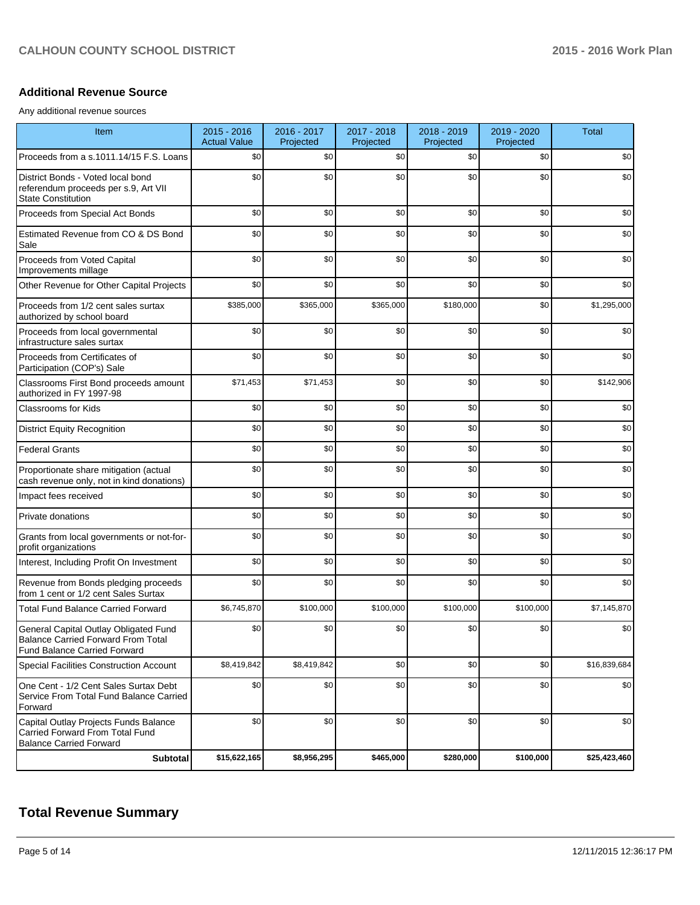### **Additional Revenue Source**

Any additional revenue sources

| Item                                                                                                                      | $2015 - 2016$<br><b>Actual Value</b> | 2016 - 2017<br>Projected | 2017 - 2018<br>Projected | 2018 - 2019<br>Projected | 2019 - 2020<br>Projected | <b>Total</b> |
|---------------------------------------------------------------------------------------------------------------------------|--------------------------------------|--------------------------|--------------------------|--------------------------|--------------------------|--------------|
| Proceeds from a s.1011.14/15 F.S. Loans                                                                                   | \$0                                  | \$0                      | \$0                      | \$0                      | \$0                      | \$0          |
| District Bonds - Voted local bond<br>referendum proceeds per s.9, Art VII<br><b>State Constitution</b>                    | \$0                                  | \$0                      | \$0                      | \$0                      | \$0                      | \$0          |
| Proceeds from Special Act Bonds                                                                                           | \$0                                  | \$0                      | \$0                      | \$0                      | \$0                      | \$0          |
| Estimated Revenue from CO & DS Bond<br>Sale                                                                               | \$0                                  | \$0                      | \$0                      | \$0                      | \$0                      | \$0          |
| Proceeds from Voted Capital<br>Improvements millage                                                                       | \$0                                  | \$0                      | \$0                      | \$0                      | \$0                      | \$0          |
| Other Revenue for Other Capital Projects                                                                                  | \$0                                  | \$0                      | \$0                      | \$0                      | \$0                      | \$0          |
| Proceeds from 1/2 cent sales surtax<br>authorized by school board                                                         | \$385,000                            | \$365,000                | \$365,000                | \$180,000                | \$0                      | \$1,295,000  |
| Proceeds from local governmental<br>infrastructure sales surtax                                                           | \$0                                  | \$0                      | \$0                      | \$0                      | \$0                      | \$0          |
| Proceeds from Certificates of<br>Participation (COP's) Sale                                                               | \$0                                  | \$0                      | \$0                      | \$0                      | \$0                      | \$0          |
| Classrooms First Bond proceeds amount<br>authorized in FY 1997-98                                                         | \$71,453                             | \$71,453                 | \$0                      | \$0                      | \$0                      | \$142,906    |
| <b>Classrooms for Kids</b>                                                                                                | \$0                                  | \$0                      | \$0                      | \$0                      | \$0                      | \$0          |
| <b>District Equity Recognition</b>                                                                                        | \$0                                  | \$0                      | \$0                      | \$0                      | \$0                      | \$0          |
| <b>Federal Grants</b>                                                                                                     | \$0                                  | \$0                      | \$0                      | \$0                      | \$0                      | \$0          |
| Proportionate share mitigation (actual<br>cash revenue only, not in kind donations)                                       | \$0                                  | \$0                      | \$0                      | \$0                      | \$0                      | \$0          |
| Impact fees received                                                                                                      | \$0                                  | \$0                      | \$0                      | \$0                      | \$0                      | \$0          |
| Private donations                                                                                                         | \$0                                  | \$0                      | \$0                      | \$0                      | \$0                      | \$0          |
| Grants from local governments or not-for-<br>profit organizations                                                         | \$0                                  | \$0                      | \$0                      | \$0                      | \$0                      | \$0          |
| Interest, Including Profit On Investment                                                                                  | \$0                                  | \$0                      | \$0                      | \$0                      | \$0                      | \$0          |
| Revenue from Bonds pledging proceeds<br>from 1 cent or 1/2 cent Sales Surtax                                              | \$0                                  | \$0                      | \$0                      | \$0                      | \$0                      | \$0          |
| <b>Total Fund Balance Carried Forward</b>                                                                                 | \$6,745,870                          | \$100,000                | \$100,000                | \$100,000                | \$100,000                | \$7,145,870  |
| General Capital Outlay Obligated Fund<br><b>Balance Carried Forward From Total</b><br><b>Fund Balance Carried Forward</b> | \$0                                  | \$0                      | \$0                      | \$0                      | \$0                      | \$0          |
| Special Facilities Construction Account                                                                                   | \$8,419,842                          | \$8,419,842              | \$0                      | \$0                      | \$0                      | \$16,839,684 |
| One Cent - 1/2 Cent Sales Surtax Debt<br>Service From Total Fund Balance Carried<br>Forward                               | \$0                                  | \$0                      | \$0                      | \$0                      | \$0                      | \$0          |
| Capital Outlay Projects Funds Balance<br>Carried Forward From Total Fund<br><b>Balance Carried Forward</b>                | \$0                                  | \$0                      | \$0                      | \$0                      | \$0                      | \$0          |
| Subtotal                                                                                                                  | \$15,622,165                         | \$8,956,295              | \$465,000                | \$280,000                | \$100,000                | \$25,423,460 |

# **Total Revenue Summary**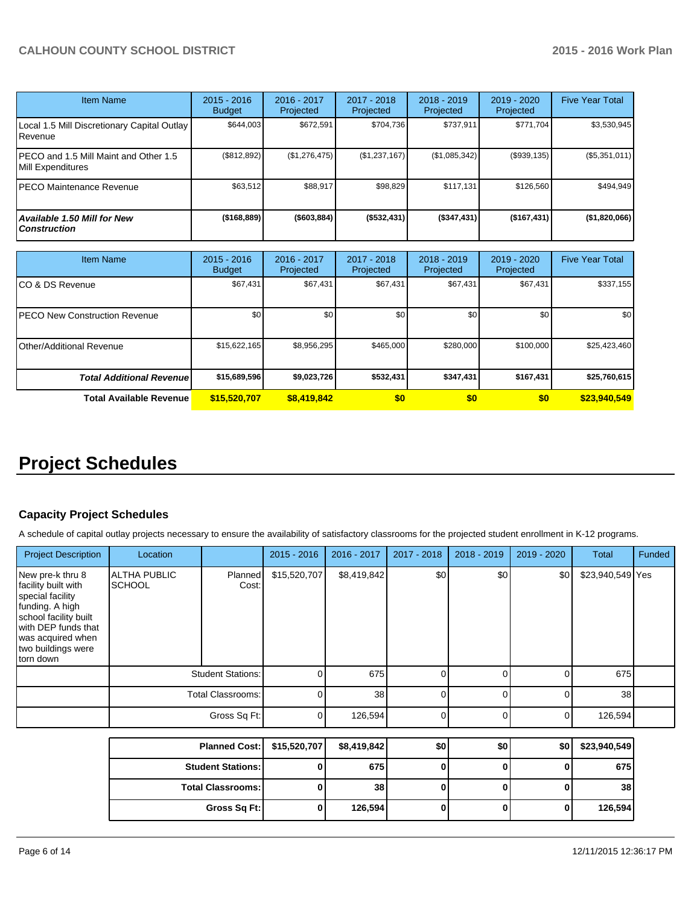| <b>Item Name</b>                                           | $2015 - 2016$<br><b>Budget</b> | 2016 - 2017<br>Projected | 2017 - 2018<br><b>Projected</b> | $2018 - 2019$<br>Projected | $2019 - 2020$<br>Projected | <b>Five Year Total</b> |
|------------------------------------------------------------|--------------------------------|--------------------------|---------------------------------|----------------------------|----------------------------|------------------------|
| Local 1.5 Mill Discretionary Capital Outlay<br>Revenue     | \$644.003                      | \$672.591                | \$704.736                       | \$737.911                  | \$771,704                  | \$3,530,945            |
| PECO and 1.5 Mill Maint and Other 1.5<br>Mill Expenditures | (\$812,892)                    | (\$1,276,475)            | (\$1,237,167)                   | (\$1,085,342)              | (\$939, 135)               | (\$5,351,011)          |
| PECO Maintenance Revenue                                   | \$63,512                       | \$88,917                 | \$98,829                        | \$117.131                  | \$126,560                  | \$494,949              |
| <b>Available 1.50 Mill for New</b><br><b>Construction</b>  | (\$168,889)                    | ( \$603, 884)            | ( \$532,431)                    | (S347, 431)                | (\$167,431)                | (\$1,820,066)          |

| <b>Item Name</b>                      | $2015 - 2016$<br><b>Budget</b> | 2016 - 2017<br>Projected | 2017 - 2018<br>Projected | $2018 - 2019$<br>Projected | 2019 - 2020<br>Projected | <b>Five Year Total</b> |
|---------------------------------------|--------------------------------|--------------------------|--------------------------|----------------------------|--------------------------|------------------------|
| ICO & DS Revenue                      | \$67,431                       | \$67,431                 | \$67,431                 | \$67,431                   | \$67,431                 | \$337,155              |
| <b>IPECO New Construction Revenue</b> | \$0                            | \$0                      | \$0                      | \$0                        | \$0 <sub>1</sub>         | \$0                    |
| <b>I</b> Other/Additional Revenue     | \$15,622,165                   | \$8,956,295              | \$465,000                | \$280,000                  | \$100,000                | \$25,423,460           |
| <b>Total Additional Revenuel</b>      | \$15,689,596                   | \$9,023,726              | \$532,431                | \$347,431                  | \$167,431                | \$25,760,615           |
| <b>Total Available Revenue</b>        | \$15,520,707                   | \$8,419,842              | \$0                      | \$0                        | \$0                      | \$23,940,549           |

# **Project Schedules**

# **Capacity Project Schedules**

A schedule of capital outlay projects necessary to ensure the availability of satisfactory classrooms for the projected student enrollment in K-12 programs.

| <b>Project Description</b>                                                                                                                                                             | Location                             |                          | $2015 - 2016$ | 2016 - 2017 | $2017 - 2018$ | $2018 - 2019$ | 2019 - 2020 | Total            | Funded |
|----------------------------------------------------------------------------------------------------------------------------------------------------------------------------------------|--------------------------------------|--------------------------|---------------|-------------|---------------|---------------|-------------|------------------|--------|
| New pre-k thru 8<br>facility built with<br>special facility<br>funding. A high<br>school facility built<br>with DEP funds that<br>was acquired when<br>two buildings were<br>torn down | <b>ALTHA PUBLIC</b><br><b>SCHOOL</b> | Planned<br>Cost:         | \$15,520,707  | \$8,419,842 | \$0           | \$0           | \$0         | \$23,940,549 Yes |        |
|                                                                                                                                                                                        |                                      | <b>Student Stations:</b> |               | 675         |               |               |             | 675              |        |
|                                                                                                                                                                                        |                                      | <b>Total Classrooms:</b> |               | 38          |               |               |             | 38               |        |
|                                                                                                                                                                                        |                                      | Gross Sq Ft:             |               | 126,594     | $\Omega$      |               | 0           | 126,594          |        |
|                                                                                                                                                                                        |                                      | <b>Planned Cost:</b>     | \$15,520,707  | \$8,419,842 | \$0           | \$0           | \$0         | \$23,940,549     |        |

| Planned Cost:   \$15,520,707 | \$8,419,842 | \$0 | \$0 | \$0 | \$23,940,549    |
|------------------------------|-------------|-----|-----|-----|-----------------|
| <b>Student Stations: I</b>   | 675         |     |     |     | 675             |
| <b>Total Classrooms:</b>     | 38          |     |     |     | 38 <sub>l</sub> |
| Gross Sq Ft:                 | 126,594     |     |     | 0   | 126,594         |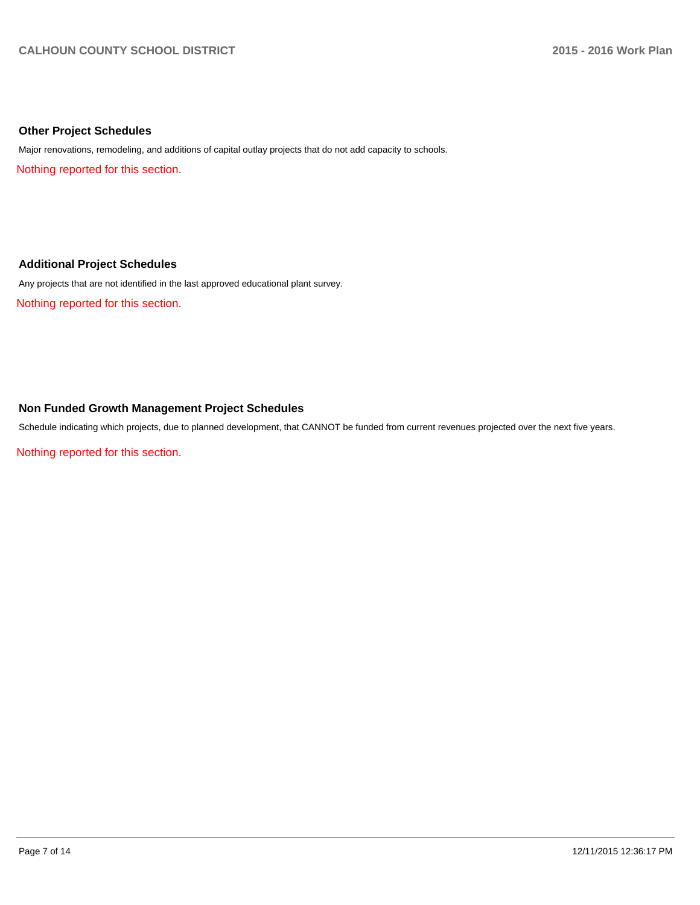#### **Other Project Schedules**

Major renovations, remodeling, and additions of capital outlay projects that do not add capacity to schools.

Nothing reported for this section.

#### **Additional Project Schedules**

Any projects that are not identified in the last approved educational plant survey.

Nothing reported for this section.

## **Non Funded Growth Management Project Schedules**

Schedule indicating which projects, due to planned development, that CANNOT be funded from current revenues projected over the next five years.

Nothing reported for this section.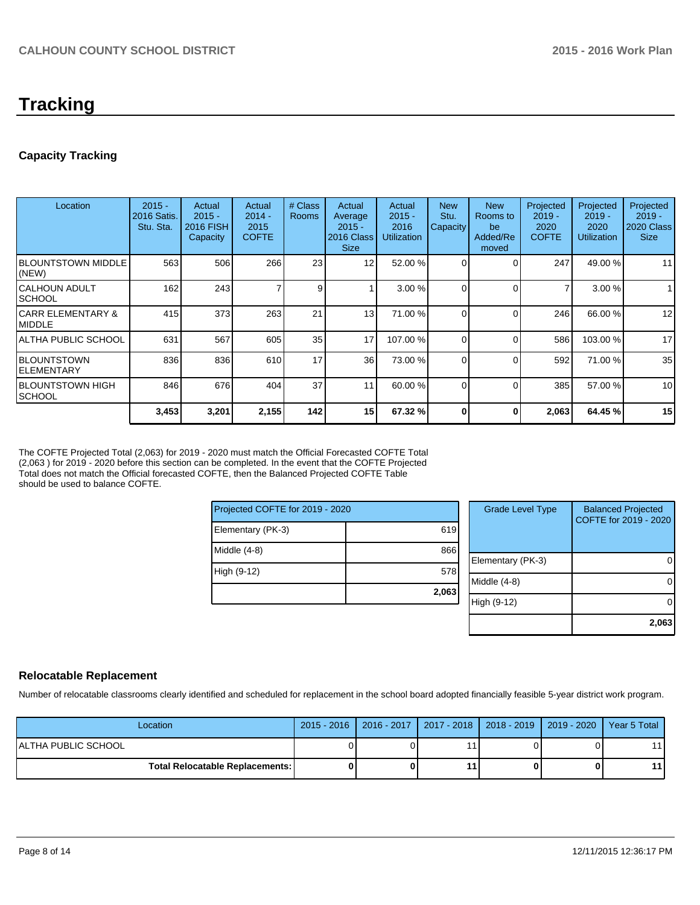# **Tracking**

# **Capacity Tracking**

| Location                           | $2015 -$<br>2016 Satis.<br>Stu. Sta. | Actual<br>$2015 -$<br>2016 FISH<br>Capacity | Actual<br>$2014 -$<br>2015<br><b>COFTE</b> | # Class<br><b>Rooms</b> | Actual<br>Average<br>$2015 -$<br>2016 Class<br><b>Size</b> | Actual<br>$2015 -$<br>2016<br><b>Utilization</b> | <b>New</b><br>Stu.<br>Capacity | <b>New</b><br>Rooms to<br>be<br>Added/Re<br>moved | Projected<br>$2019 -$<br>2020<br><b>COFTE</b> | Projected<br>$2019 -$<br>2020<br><b>Utilization</b> | Projected<br>$2019 -$<br>2020 Class<br><b>Size</b> |
|------------------------------------|--------------------------------------|---------------------------------------------|--------------------------------------------|-------------------------|------------------------------------------------------------|--------------------------------------------------|--------------------------------|---------------------------------------------------|-----------------------------------------------|-----------------------------------------------------|----------------------------------------------------|
| <b>BLOUNTSTOWN MIDDLE</b><br>(NEW) | 563                                  | 506                                         | 266                                        | 23                      | 12                                                         | 52.00 %                                          | $\Omega$                       |                                                   | 247                                           | 49.00 %                                             | 11                                                 |
| ICALHOUN ADULT<br><b>ISCHOOL</b>   | 162                                  | 243                                         |                                            | 9                       |                                                            | 3.00%                                            | 0                              |                                                   | 7                                             | 3.00 %                                              |                                                    |
| ICARR ELEMENTARY &<br>IMIDDLE      | 415                                  | 373                                         | 263                                        | 21                      | 13                                                         | 71.00 %                                          |                                |                                                   | 246                                           | 66.00 %                                             | 12                                                 |
| IALTHA PUBLIC SCHOOL               | 631                                  | 567                                         | 605                                        | 35                      | 17                                                         | 107.00 %                                         | $\Omega$                       |                                                   | 586                                           | 103.00%                                             | 17                                                 |
| IBLOUNTSTOWN<br>IELEMENTARY        | 836                                  | 836                                         | 610                                        | 17                      | 36 <sup>1</sup>                                            | 73.00 %                                          | $\Omega$                       |                                                   | 592                                           | 71.00 %                                             | 35                                                 |
| IBLOUNTSTOWN HIGH<br><b>SCHOOL</b> | 846                                  | 676                                         | 404                                        | 37                      | 11                                                         | 60.00 %                                          | $\Omega$                       |                                                   | 385                                           | 57.00 %                                             | 10                                                 |
|                                    | 3,453                                | 3,201                                       | 2,155                                      | 142                     | 15 <sup>1</sup>                                            | 67.32 %                                          | 0                              | 0                                                 | 2,063                                         | 64.45 %                                             | 15                                                 |

The COFTE Projected Total (2,063) for 2019 - 2020 must match the Official Forecasted COFTE Total (2,063) for 2019 - 2020 before this section can be completed. In the event that the COFTE Projected Total does not match the Official forecasted COFTE, then the Balanced Projected COFTE Table should be used to balance COFTE.

| Projected COFTE for 2019 - 2020 |       |   |  |
|---------------------------------|-------|---|--|
| Elementary (PK-3)               | 619   |   |  |
| Middle (4-8)                    | 866   | F |  |
| High (9-12)                     | 578   | N |  |
|                                 | 2,063 | Н |  |

| <b>Grade Level Type</b> | <b>Balanced Projected</b><br>COFTE for 2019 - 2020 |
|-------------------------|----------------------------------------------------|
| Elementary (PK-3)       |                                                    |
| Middle (4-8)            |                                                    |
| High (9-12)             |                                                    |
|                         | 2,063                                              |

### **Relocatable Replacement**

Number of relocatable classrooms clearly identified and scheduled for replacement in the school board adopted financially feasible 5-year district work program.

| Location                                 | 2015 - 2016   2016 - 2017   2017 - 2018   2018 - 2019   2019 - 2020   Year 5 Total |    |  |      |
|------------------------------------------|------------------------------------------------------------------------------------|----|--|------|
| IALTHA PUBLIC SCHOOL                     |                                                                                    |    |  | 11 I |
| <b>Total Relocatable Replacements: I</b> |                                                                                    | 11 |  | 11 I |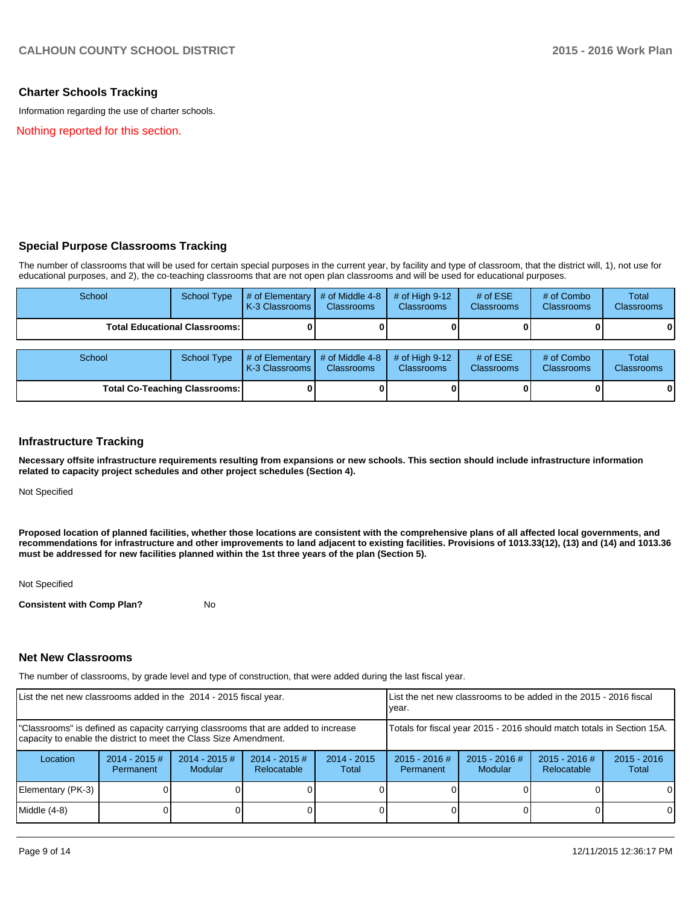### **Charter Schools Tracking**

Information regarding the use of charter schools.

Nothing reported for this section.

#### **Special Purpose Classrooms Tracking**

The number of classrooms that will be used for certain special purposes in the current year, by facility and type of classroom, that the district will, 1), not use for educational purposes, and 2), the co-teaching classrooms that are not open plan classrooms and will be used for educational purposes.

| School                                 | <b>School Type</b>                   | # of Elementary<br>K-3 Classrooms        | # of Middle 4-8<br><b>Classrooms</b> | # of High $9-12$<br><b>Classrooms</b> | # of $ESE$<br><b>Classrooms</b> | # of Combo<br><b>Classrooms</b> | <b>Total</b><br><b>Classrooms</b> |
|----------------------------------------|--------------------------------------|------------------------------------------|--------------------------------------|---------------------------------------|---------------------------------|---------------------------------|-----------------------------------|
| <b>Total Educational Classrooms: I</b> |                                      |                                          |                                      |                                       |                                 |                                 | $\mathbf{0}$                      |
| School                                 | School Type                          | # of Elementary<br><b>K-3 Classrooms</b> | # of Middle 4-8<br><b>Classrooms</b> | # of High $9-12$<br><b>Classrooms</b> | # of $ESE$<br><b>Classrooms</b> | # of Combo<br><b>Classrooms</b> | <b>Total</b><br><b>Classrooms</b> |
|                                        | <b>Total Co-Teaching Classrooms:</b> |                                          |                                      |                                       |                                 |                                 | 0                                 |

#### **Infrastructure Tracking**

**Necessary offsite infrastructure requirements resulting from expansions or new schools. This section should include infrastructure information related to capacity project schedules and other project schedules (Section 4).**

Not Specified

**Proposed location of planned facilities, whether those locations are consistent with the comprehensive plans of all affected local governments, and recommendations for infrastructure and other improvements to land adjacent to existing facilities. Provisions of 1013.33(12), (13) and (14) and 1013.36 must be addressed for new facilities planned within the 1st three years of the plan (Section 5).**

Not Specified

**Consistent with Comp Plan?** No

#### **Net New Classrooms**

The number of classrooms, by grade level and type of construction, that were added during the last fiscal year.

| List the net new classrooms added in the 2014 - 2015 fiscal year.                                                                                       |                              |                                   |                                | Llist the net new classrooms to be added in the 2015 - 2016 fiscal<br>Ivear. |                                                                        |                                   |                                |                        |
|---------------------------------------------------------------------------------------------------------------------------------------------------------|------------------------------|-----------------------------------|--------------------------------|------------------------------------------------------------------------------|------------------------------------------------------------------------|-----------------------------------|--------------------------------|------------------------|
| "Classrooms" is defined as capacity carrying classrooms that are added to increase<br>capacity to enable the district to meet the Class Size Amendment. |                              |                                   |                                |                                                                              | Totals for fiscal year 2015 - 2016 should match totals in Section 15A. |                                   |                                |                        |
| Location                                                                                                                                                | $2014 - 2015$ #<br>Permanent | $2014 - 2015$ #<br><b>Modular</b> | $2014 - 2015$ #<br>Relocatable | $2014 - 2015$<br>Total                                                       | $2015 - 2016$ #<br>Permanent                                           | $2015 - 2016$ #<br><b>Modular</b> | $2015 - 2016$ #<br>Relocatable | $2015 - 2016$<br>Total |
| Elementary (PK-3)                                                                                                                                       |                              |                                   |                                |                                                                              |                                                                        |                                   |                                | $\Omega$               |
| Middle (4-8)                                                                                                                                            |                              |                                   |                                |                                                                              |                                                                        |                                   |                                | $\Omega$               |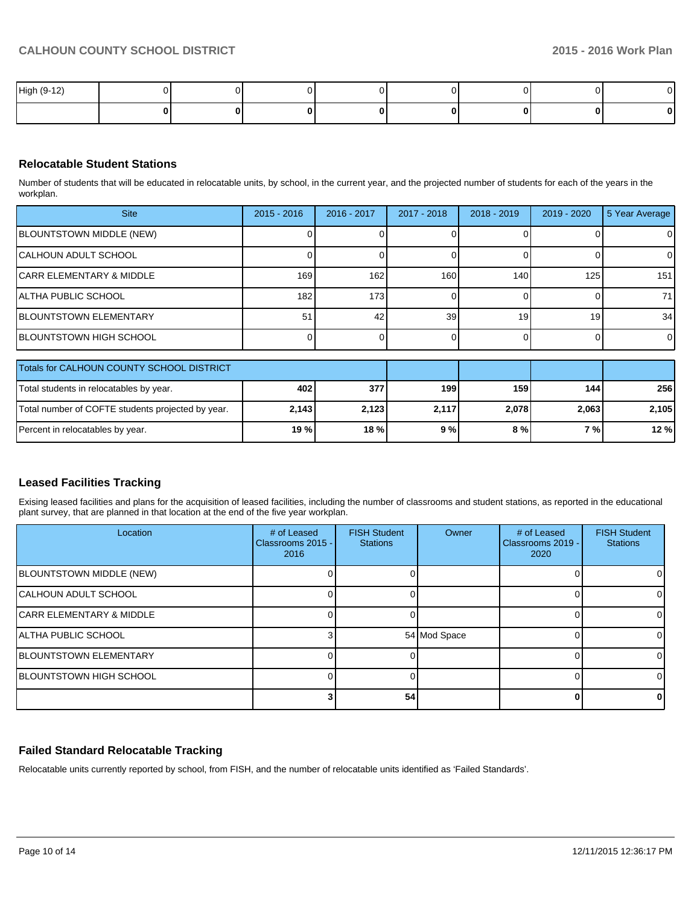| High (9-12) |  |  |  | $\sim$ |
|-------------|--|--|--|--------|
|             |  |  |  | 0      |

# **Relocatable Student Stations**

Number of students that will be educated in relocatable units, by school, in the current year, and the projected number of students for each of the years in the workplan.

| <b>Site</b>                    | $2015 - 2016$    | 2016 - 2017      | $2017 - 2018$ | $2018 - 2019$   | 2019 - 2020     | 5 Year Average |
|--------------------------------|------------------|------------------|---------------|-----------------|-----------------|----------------|
| BLOUNTSTOWN MIDDLE (NEW)       |                  |                  |               |                 |                 | $\overline{0}$ |
| CALHOUN ADULT SCHOOL           |                  |                  |               |                 |                 | $\Omega$       |
| CARR ELEMENTARY & MIDDLE       | 169 l            | 162              | 160           | 140             | 125             | 151            |
| IALTHA PUBLIC SCHOOL           | 182 <sub>1</sub> | 173 <sup>1</sup> |               |                 |                 | 71             |
| <b>IBLOUNTSTOWN ELEMENTARY</b> | 51               | 42               | 39            | 19 <sup>1</sup> | 19 <sub>1</sub> | 34             |
| BLOUNTSTOWN HIGH SCHOOL        |                  |                  |               |                 |                 | $\overline{0}$ |
|                                |                  |                  |               |                 |                 |                |

| Totals for CALHOUN COUNTY SCHOOL DISTRICT         |        |       |       |       |       |            |
|---------------------------------------------------|--------|-------|-------|-------|-------|------------|
| Total students in relocatables by year.           | 402    | 377   | 199   | 159   | 1441  | <b>256</b> |
| Total number of COFTE students projected by year. | 2,143  | 2.123 | 2.117 | 2,078 | 2,063 | 2.105      |
| Percent in relocatables by year.                  | 19 % l | 18%   | 9%    | 8 % I | 7 % L | 12%        |

# **Leased Facilities Tracking**

Exising leased facilities and plans for the acquisition of leased facilities, including the number of classrooms and student stations, as reported in the educational plant survey, that are planned in that location at the end of the five year workplan.

| Location                            | # of Leased<br>Classrooms 2015 - I<br>2016 | <b>FISH Student</b><br><b>Stations</b> | Owner        | # of Leased<br>Classrooms 2019 -<br>2020 | <b>FISH Student</b><br><b>Stations</b> |
|-------------------------------------|--------------------------------------------|----------------------------------------|--------------|------------------------------------------|----------------------------------------|
| <b>BLOUNTSTOWN MIDDLE (NEW)</b>     |                                            |                                        |              |                                          |                                        |
| <b>CALHOUN ADULT SCHOOL</b>         |                                            |                                        |              |                                          |                                        |
| <b>CARR ELEMENTARY &amp; MIDDLE</b> |                                            |                                        |              |                                          |                                        |
| IALTHA PUBLIC SCHOOL                |                                            |                                        | 54 Mod Space |                                          |                                        |
| <b>IBLOUNTSTOWN ELEMENTARY</b>      |                                            |                                        |              |                                          |                                        |
| <b>IBLOUNTSTOWN HIGH SCHOOL</b>     |                                            |                                        |              |                                          |                                        |
|                                     |                                            | 54                                     |              |                                          |                                        |

# **Failed Standard Relocatable Tracking**

Relocatable units currently reported by school, from FISH, and the number of relocatable units identified as 'Failed Standards'.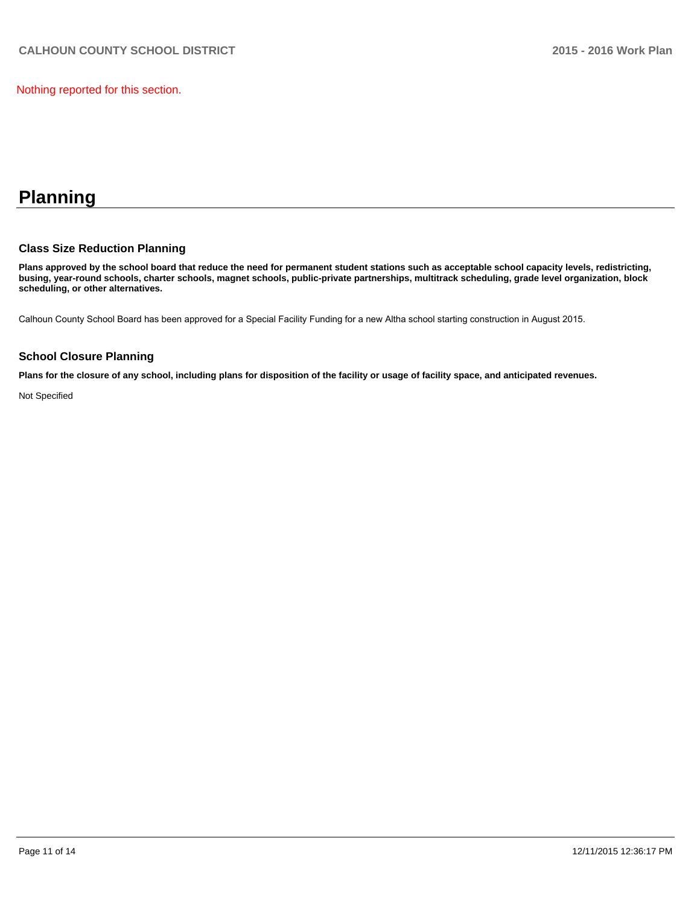Nothing reported for this section.

# **Planning**

## **Class Size Reduction Planning**

**Plans approved by the school board that reduce the need for permanent student stations such as acceptable school capacity levels, redistricting, busing, year-round schools, charter schools, magnet schools, public-private partnerships, multitrack scheduling, grade level organization, block scheduling, or other alternatives.**

Calhoun County School Board has been approved for a Special Facility Funding for a new Altha school starting construction in August 2015.

#### **School Closure Planning**

**Plans for the closure of any school, including plans for disposition of the facility or usage of facility space, and anticipated revenues.**

Not Specified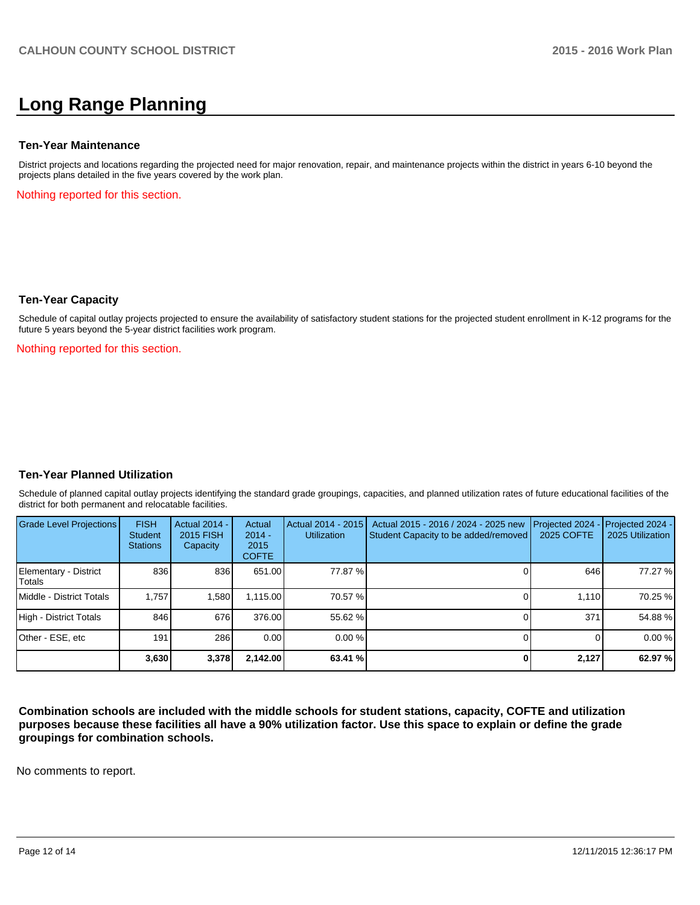# **Long Range Planning**

#### **Ten-Year Maintenance**

District projects and locations regarding the projected need for major renovation, repair, and maintenance projects within the district in years 6-10 beyond the projects plans detailed in the five years covered by the work plan.

Nothing reported for this section.

#### **Ten-Year Capacity**

Schedule of capital outlay projects projected to ensure the availability of satisfactory student stations for the projected student enrollment in K-12 programs for the future 5 years beyond the 5-year district facilities work program.

Nothing reported for this section.

#### **Ten-Year Planned Utilization**

Schedule of planned capital outlay projects identifying the standard grade groupings, capacities, and planned utilization rates of future educational facilities of the district for both permanent and relocatable facilities.

| <b>Grade Level Projections</b>  | <b>FISH</b><br>Student<br><b>Stations</b> | <b>Actual 2014 -</b><br>2015 FISH<br>Capacity | Actual<br>$2014 -$<br>2015<br><b>COFTE</b> | Actual 2014 - 2015<br><b>Utilization</b> | Actual 2015 - 2016 / 2024 - 2025 new<br>Student Capacity to be added/removed | Projected 2024<br>2025 COFTE | $-$ Projected 2024 -<br>2025 Utilization |
|---------------------------------|-------------------------------------------|-----------------------------------------------|--------------------------------------------|------------------------------------------|------------------------------------------------------------------------------|------------------------------|------------------------------------------|
| Elementary - District<br>Totals | 836                                       | 836                                           | 651.00                                     | 77.87 %                                  |                                                                              | 646                          | 77.27 %                                  |
| Middle - District Totals        | 1.757                                     | 1,580                                         | 1.115.00                                   | 70.57 %                                  |                                                                              | 1.110                        | 70.25 %                                  |
| High - District Totals          | 846                                       | 676                                           | 376.00                                     | 55.62 %                                  |                                                                              | 371                          | 54.88%                                   |
| Other - ESE, etc                | 191 <sub>1</sub>                          | 286                                           | 0.00                                       | $0.00\%$                                 |                                                                              |                              | 0.00%                                    |
|                                 | 3,630                                     | 3,378                                         | 2,142.00                                   | 63.41 %                                  |                                                                              | 2,127                        | 62.97 %                                  |

**Combination schools are included with the middle schools for student stations, capacity, COFTE and utilization purposes because these facilities all have a 90% utilization factor. Use this space to explain or define the grade groupings for combination schools.**

No comments to report.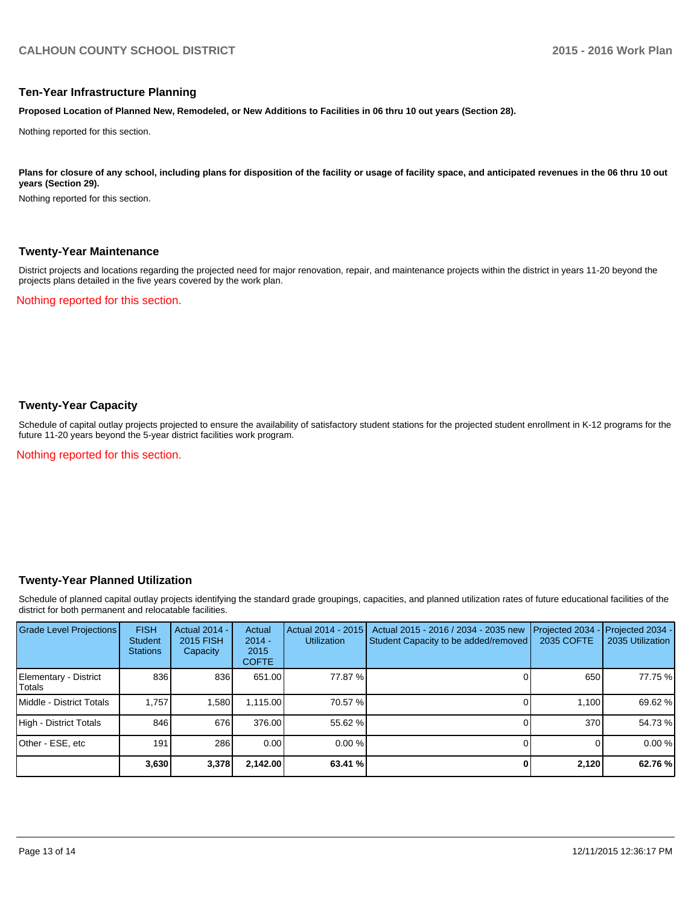#### **Ten-Year Infrastructure Planning**

**Proposed Location of Planned New, Remodeled, or New Additions to Facilities in 06 thru 10 out years (Section 28).**

Nothing reported for this section.

Plans for closure of any school, including plans for disposition of the facility or usage of facility space, and anticipated revenues in the 06 thru 10 out **years (Section 29).**

Nothing reported for this section.

#### **Twenty-Year Maintenance**

District projects and locations regarding the projected need for major renovation, repair, and maintenance projects within the district in years 11-20 beyond the projects plans detailed in the five years covered by the work plan.

Nothing reported for this section.

### **Twenty-Year Capacity**

Schedule of capital outlay projects projected to ensure the availability of satisfactory student stations for the projected student enrollment in K-12 programs for the future 11-20 years beyond the 5-year district facilities work program.

Nothing reported for this section.

#### **Twenty-Year Planned Utilization**

Schedule of planned capital outlay projects identifying the standard grade groupings, capacities, and planned utilization rates of future educational facilities of the district for both permanent and relocatable facilities.

| <b>Grade Level Projections</b>    | <b>FISH</b><br><b>Student</b><br><b>Stations</b> | <b>Actual 2014 -</b><br>2015 FISH<br>Capacity | Actual<br>$2014 -$<br>2015<br><b>COFTE</b> | Actual 2014 - 2015<br><b>Utilization</b> | Actual 2015 - 2016 / 2034 - 2035 new<br>Student Capacity to be added/removed | Projected 2034<br>2035 COFTE | Projected 2034 -<br>2035 Utilization |
|-----------------------------------|--------------------------------------------------|-----------------------------------------------|--------------------------------------------|------------------------------------------|------------------------------------------------------------------------------|------------------------------|--------------------------------------|
| Elementary - District<br>l Totals | 836                                              | 836                                           | 651.00                                     | 77.87 %I                                 |                                                                              | 650                          | 77.75 %                              |
| Middle - District Totals          | 1.757                                            | 1,580                                         | 1.115.00                                   | 70.57 %                                  |                                                                              | 1.100                        | 69.62 %                              |
| High - District Totals            | 846                                              | 676                                           | 376.00                                     | 55.62 %                                  |                                                                              | 370                          | 54.73 %                              |
| Other - ESE, etc                  | 191 <sub>1</sub>                                 | 286                                           | 0.00                                       | 0.00%                                    |                                                                              |                              | 0.00%                                |
|                                   | 3,630                                            | 3,378                                         | 2,142.00                                   | 63.41 %                                  |                                                                              | 2,120                        | 62.76 %                              |